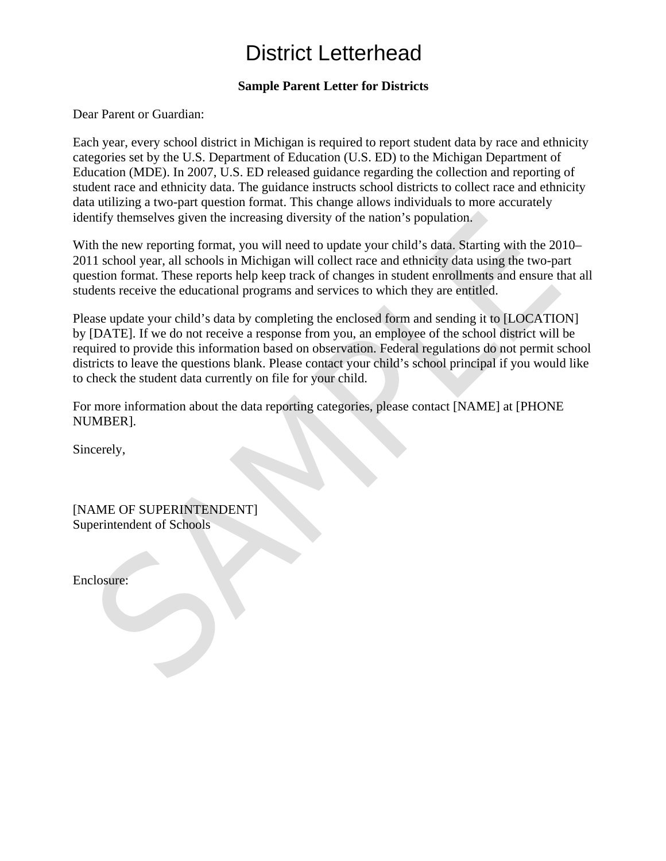## District Letterhead

## **Sample Parent Letter for Districts**

Dear Parent or Guardian:

Each year, every school district in Michigan is required to report student data by race and ethnicity categories set by the U.S. Department of Education (U.S. ED) to the Michigan Department of Education (MDE). In 2007, U.S. ED released guidance regarding the collection and reporting of student race and ethnicity data. The guidance instructs school districts to collect race and ethnicity data utilizing a two-part question format. This change allows individuals to more accurately identify themselves given the increasing diversity of the nation's population.

With the new reporting format, you will need to update your child's data. Starting with the 2010– 2011 school year, all schools in Michigan will collect race and ethnicity data using the two-part question format. These reports help keep track of changes in student enrollments and ensure that all students receive the educational programs and services to which they are entitled.

Please update your child's data by completing the enclosed form and sending it to [LOCATION] by [DATE]. If we do not receive a response from you, an employee of the school district will be required to provide this information based on observation. Federal regulations do not permit school districts to leave the questions blank. Please contact your child's school principal if you would like to check the student data currently on file for your child.

For more information about the data reporting categories, please contact [NAME] at [PHONE NUMBER].

Sincerely,

[NAME OF SUPERINTENDENT] Superintendent of Schools

Enclosure: